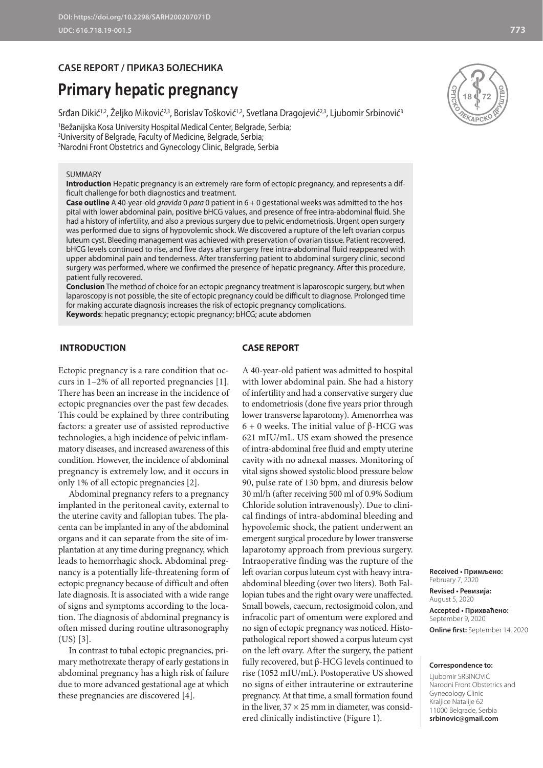# **CASE REPORT / ПРИКАЗ БОЛЕСНИКА**

# **Primary hepatic pregnancy**

Srđan Dikić<sup>1,2</sup>, Željko Miković<sup>2,3</sup>, Borislav Tošković<sup>1,2</sup>, Svetlana Dragojević<sup>2,3</sup>, Ljubomir Srbinović<sup>3</sup>

1 Bežanijska Kosa University Hospital Medical Center, Belgrade, Serbia; 2 University of Belgrade, Faculty of Medicine, Belgrade, Serbia; 3 Narodni Front Obstetrics and Gynecology Clinic, Belgrade, Serbia

#### SUMMARY

**Introduction** Hepatic pregnancy is an extremely rare form of ectopic pregnancy, and represents a difficult challenge for both diagnostics and treatment.

**Case outline** A 40-year-old *gravida* 0 *para* 0 patient in 6 + 0 gestational weeks was admitted to the hospital with lower abdominal pain, positive bHCG values, and presence of free intra-abdominal fluid. She had a history of infertility, and also a previous surgery due to pelvic endometriosis. Urgent open surgery was performed due to signs of hypovolemic shock. We discovered a rupture of the left ovarian corpus luteum cyst. Bleeding management was achieved with preservation of ovarian tissue. Patient recovered, bHCG levels continued to rise, and five days after surgery free intra-abdominal fluid reappeared with upper abdominal pain and tenderness. After transferring patient to abdominal surgery clinic, second surgery was performed, where we confirmed the presence of hepatic pregnancy. After this procedure, patient fully recovered.

**Conclusion** The method of choice for an ectopic pregnancy treatment is laparoscopic surgery, but when laparoscopy is not possible, the site of ectopic pregnancy could be difficult to diagnose. Prolonged time for making accurate diagnosis increases the risk of ectopic pregnancy complications. **Keywords**: hepatic pregnancy; ectopic pregnancy; bHCG; acute abdomen

#### **INTRODUCTION**

#### **CASE REPORT**

Ectopic pregnancy is a rare condition that occurs in 1–2% of all reported pregnancies [1]. There has been an increase in the incidence of ectopic pregnancies over the past few decades. This could be explained by three contributing factors: a greater use of assisted reproductive technologies, a high incidence of pelvic inflammatory diseases, and increased awareness of this condition. However, the incidence of abdominal pregnancy is extremely low, and it occurs in only 1% of all ectopic pregnancies [2].

Abdominal pregnancy refers to a pregnancy implanted in the peritoneal cavity, external to the uterine cavity and fallopian tubes. The placenta can be implanted in any of the abdominal organs and it can separate from the site of implantation at any time during pregnancy, which leads to hemorrhagic shock. Abdominal pregnancy is a potentially life-threatening form of ectopic pregnancy because of difficult and often late diagnosis. It is associated with a wide range of signs and symptoms according to the location. The diagnosis of abdominal pregnancy is often missed during routine ultrasonography (US) [3].

In contrast to tubal ectopic pregnancies, primary methotrexate therapy of early gestations in abdominal pregnancy has a high risk of failure due to more advanced gestational age at which these pregnancies are discovered [4].

A 40-year-old patient was admitted to hospital with lower abdominal pain. She had a history of infertility and had a conservative surgery due to endometriosis (done five years prior through lower transverse laparotomy). Amenorrhea was 6 + 0 weeks. The initial value of β-HCG was 621 mIU/mL. US exam showed the presence of intra-abdominal free fluid and empty uterine cavity with no adnexal masses. Monitoring of vital signs showed systolic blood pressure below 90, pulse rate of 130 bpm, and diuresis below 30 ml/h (after receiving 500 ml of 0.9% Sodium Chloride solution intravenously). Due to clinical findings of intra-abdominal bleeding and hypovolemic shock, the patient underwent an emergent surgical procedure by lower transverse laparotomy approach from previous surgery. Intraoperative finding was the rupture of the left ovarian corpus luteum cyst with heavy intraabdominal bleeding (over two liters). Both Fallopian tubes and the right ovary were unaffected. Small bowels, caecum, rectosigmoid colon, and infracolic part of omentum were explored and no sign of ectopic pregnancy was noticed. Histopathological report showed a corpus luteum cyst on the left ovary. After the surgery, the patient fully recovered, but β-HCG levels continued to rise (1052 mIU/mL). Postoperative US showed no signs of either intrauterine or extrauterine pregnancy. At that time, a small formation found in the liver,  $37 \times 25$  mm in diameter, was considered clinically indistinctive (Figure 1).

**Received • Примљено:**  February 7, 2020 **Revised • Ревизија:**  August 5, 2020 **Accepted • Прихваћено:** September 9, 2020 **Online first:** September 14, 2020

#### **Correspondence to:**

Ljubomir SRBINOVIĆ Narodni Front Obstetrics and Gynecology Clinic Kraljice Natalije 62 11000 Belgrade, Serbia **srbinovic@gmail.com**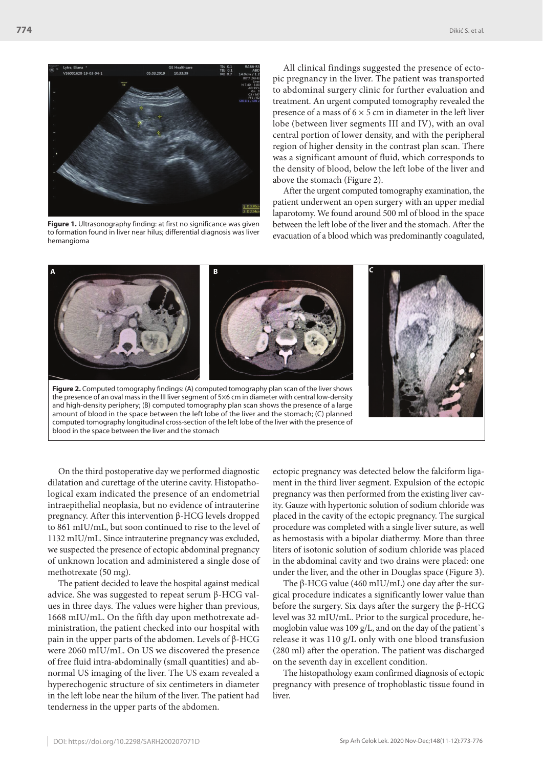ra, Eliana <mark>\*</mark><br>i001628-19-03-04-1

**Figure 1.** Ultrasonography finding: at first no significance was given to formation found in liver near hilus; differential diagnosis was liver hemangioma

All clinical findings suggested the presence of ectopic pregnancy in the liver. The patient was transported to abdominal surgery clinic for further evaluation and treatment. An urgent computed tomography revealed the presence of a mass of  $6 \times 5$  cm in diameter in the left liver lobe (between liver segments III and IV), with an oval central portion of lower density, and with the peripheral region of higher density in the contrast plan scan. There was a significant amount of fluid, which corresponds to the density of blood, below the left lobe of the liver and above the stomach (Figure 2).

After the urgent computed tomography examination, the patient underwent an open surgery with an upper medial laparotomy. We found around 500 ml of blood in the space between the left lobe of the liver and the stomach. After the evacuation of a blood which was predominantly coagulated,



On the third postoperative day we performed diagnostic dilatation and curettage of the uterine cavity. Histopathological exam indicated the presence of an endometrial intraepithelial neoplasia, but no evidence of intrauterine pregnancy. After this intervention β-HCG levels dropped to 861 mIU/mL, but soon continued to rise to the level of 1132 mIU/mL. Since intrauterine pregnancy was excluded, we suspected the presence of ectopic abdominal pregnancy of unknown location and administered a single dose of methotrexate (50 mg).

The patient decided to leave the hospital against medical advice. She was suggested to repeat serum β-HCG values in three days. The values were higher than previous, 1668 mIU/mL. On the fifth day upon methotrexate administration, the patient checked into our hospital with pain in the upper parts of the abdomen. Levels of β-HCG were 2060 mIU/mL. On US we discovered the presence of free fluid intra-abdominally (small quantities) and abnormal US imaging of the liver. The US exam revealed a hyperechogenic structure of six centimeters in diameter in the left lobe near the hilum of the liver. The patient had tenderness in the upper parts of the abdomen.

ectopic pregnancy was detected below the falciform ligament in the third liver segment. Expulsion of the ectopic pregnancy was then performed from the existing liver cavity. Gauze with hypertonic solution of sodium chloride was placed in the cavity of the ectopic pregnancy. The surgical procedure was completed with a single liver suture, as well as hemostasis with a bipolar diathermy. More than three liters of isotonic solution of sodium chloride was placed in the abdominal cavity and two drains were placed: one under the liver, and the other in Douglas space (Figure 3).

The β-HCG value (460 mIU/mL) one day after the surgical procedure indicates a significantly lower value than before the surgery. Six days after the surgery the β-HCG level was 32 mIU/mL. Prior to the surgical procedure, hemoglobin value was 109 g/L, and on the day of the patient`s release it was 110 g/L only with one blood transfusion (280 ml) after the operation. The patient was discharged on the seventh day in excellent condition.

The histopathology exam confirmed diagnosis of ectopic pregnancy with presence of trophoblastic tissue found in liver.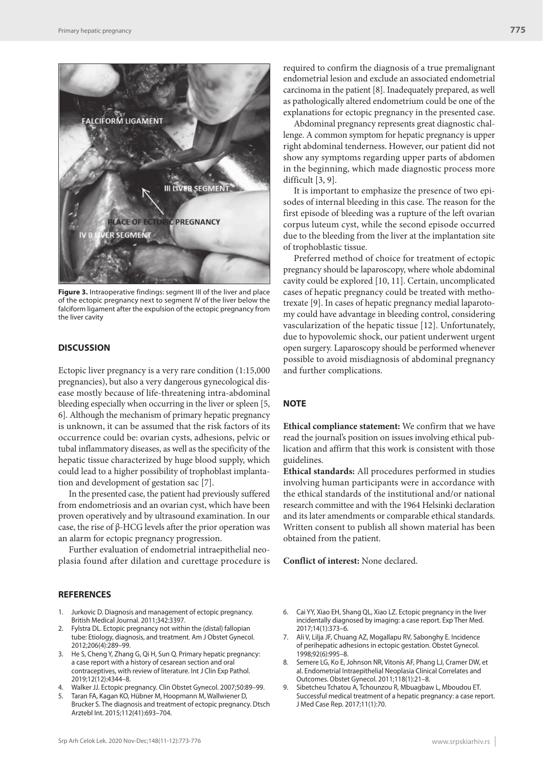

**Figure 3.** Intraoperative findings: segment III of the liver and place of the ectopic pregnancy next to segment IV of the liver below the falciform ligament after the expulsion of the ectopic pregnancy from the liver cavity

### **DISCUSSION**

Ectopic liver pregnancy is a very rare condition (1:15,000 pregnancies), but also a very dangerous gynecological disease mostly because of life-threatening intra-abdominal bleeding especially when occurring in the liver or spleen [5, 6]. Although the mechanism of primary hepatic pregnancy is unknown, it can be assumed that the risk factors of its occurrence could be: ovarian cysts, adhesions, pelvic or tubal inflammatory diseases, as well as the specificity of the hepatic tissue characterized by huge blood supply, which could lead to a higher possibility of trophoblast implantation and development of gestation sac [7].

In the presented case, the patient had previously suffered from endometriosis and an ovarian cyst, which have been proven operatively and by ultrasound examination. In our case, the rise of β-HCG levels after the prior operation was an alarm for ectopic pregnancy progression.

Further evaluation of endometrial intraepithelial neoplasia found after dilation and curettage procedure is

## **REFERENCES**

- 1. Jurkovic D. Diagnosis and management of ectopic pregnancy. British Medical Journal. 2011;342:3397.
- 2. Fylstra DL. Ectopic pregnancy not within the (distal) fallopian tube: Etiology, diagnosis, and treatment. Am J Obstet Gynecol. 2012;206(4):289–99.
- 3. He S, Cheng Y, Zhang G, Qi H, Sun Q. Primary hepatic pregnancy: a case report with a history of cesarean section and oral contraceptives, with review of literature. Int J Clin Exp Pathol. 2019;12(12):4344–8.
- 4. Walker JJ. Ectopic pregnancy. Clin Obstet Gynecol. 2007;50:89–99.
- 5. Taran FA, Kagan KO, Hübner M, Hoopmann M, Wallwiener D, Brucker S. The diagnosis and treatment of ectopic pregnancy. Dtsch Arztebl Int. 2015;112(41):693–704.

required to confirm the diagnosis of a true premalignant endometrial lesion and exclude an associated endometrial carcinoma in the patient [8]. Inadequately prepared, as well as pathologically altered endometrium could be one of the explanations for ectopic pregnancy in the presented case.

Abdominal pregnancy represents great diagnostic challenge. A common symptom for hepatic pregnancy is upper right abdominal tenderness. However, our patient did not show any symptoms regarding upper parts of abdomen in the beginning, which made diagnostic process more difficult [3, 9].

It is important to emphasize the presence of two episodes of internal bleeding in this case. The reason for the first episode of bleeding was a rupture of the left ovarian corpus luteum cyst, while the second episode occurred due to the bleeding from the liver at the implantation site of trophoblastic tissue.

Preferred method of choice for treatment of ectopic pregnancy should be laparoscopy, where whole abdominal cavity could be explored [10, 11]. Certain, uncomplicated cases of hepatic pregnancy could be treated with methotrexate [9]. In cases of hepatic pregnancy medial laparotomy could have advantage in bleeding control, considering vascularization of the hepatic tissue [12]. Unfortunately, due to hypovolemic shock, our patient underwent urgent open surgery. Laparoscopy should be performed whenever possible to avoid misdiagnosis of abdominal pregnancy and further complications.

## **NOTE**

**Ethical compliance statement:** We confirm that we have read the journal's position on issues involving ethical publication and affirm that this work is consistent with those guidelines.

**Ethical standards:** All procedures performed in studies involving human participants were in accordance with the ethical standards of the institutional and/or national research committee and with the 1964 Helsinki declaration and its later amendments or comparable ethical standards. Written consent to publish all shown material has been obtained from the patient.

**Conflict of interest:** None declared.

- 6. Cai YY, Xiao EH, Shang QL, Xiao LZ. Ectopic pregnancy in the liver incidentally diagnosed by imaging: a case report. Exp Ther Med. 2017;14(1):373–6.
- 7. Ali V, Lilja JF, Chuang AZ, Mogallapu RV, Sabonghy E. Incidence of perihepatic adhesions in ectopic gestation. Obstet Gynecol. 1998;92(6):995–8.
- 8. Semere LG, Ko E, Johnson NR, Vitonis AF, Phang LJ, Cramer DW, et al. Endometrial Intraepithelial Neoplasia Clinical Correlates and Outcomes. Obstet Gynecol. 2011;118(1):21–8.
- 9. Sibetcheu Tchatou A, Tchounzou R, Mbuagbaw L, Mboudou ET. Successful medical treatment of a hepatic pregnancy: a case report. J Med Case Rep. 2017;11(1):70.